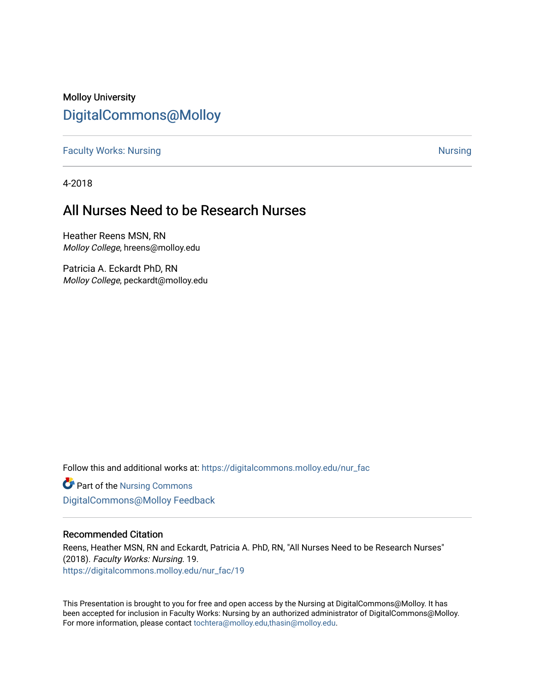#### Molloy University [DigitalCommons@Molloy](https://digitalcommons.molloy.edu/)

[Faculty Works: Nursing](https://digitalcommons.molloy.edu/nur_fac) [Nursing](https://digitalcommons.molloy.edu/nur) Nursing Nursing Nursing Nursing Nursing Nursing

4-2018

#### All Nurses Need to be Research Nurses

Heather Reens MSN, RN Molloy College, hreens@molloy.edu

Patricia A. Eckardt PhD, RN Molloy College, peckardt@molloy.edu

Follow this and additional works at: [https://digitalcommons.molloy.edu/nur\\_fac](https://digitalcommons.molloy.edu/nur_fac?utm_source=digitalcommons.molloy.edu%2Fnur_fac%2F19&utm_medium=PDF&utm_campaign=PDFCoverPages)

Part of the [Nursing Commons](https://network.bepress.com/hgg/discipline/718?utm_source=digitalcommons.molloy.edu%2Fnur_fac%2F19&utm_medium=PDF&utm_campaign=PDFCoverPages)  [DigitalCommons@Molloy Feedback](https://molloy.libwizard.com/f/dcfeedback)

#### Recommended Citation

Reens, Heather MSN, RN and Eckardt, Patricia A. PhD, RN, "All Nurses Need to be Research Nurses" (2018). Faculty Works: Nursing. 19. [https://digitalcommons.molloy.edu/nur\\_fac/19](https://digitalcommons.molloy.edu/nur_fac/19?utm_source=digitalcommons.molloy.edu%2Fnur_fac%2F19&utm_medium=PDF&utm_campaign=PDFCoverPages) 

This Presentation is brought to you for free and open access by the Nursing at DigitalCommons@Molloy. It has been accepted for inclusion in Faculty Works: Nursing by an authorized administrator of DigitalCommons@Molloy. For more information, please contact [tochtera@molloy.edu,thasin@molloy.edu](mailto:tochtera@molloy.edu,thasin@molloy.edu).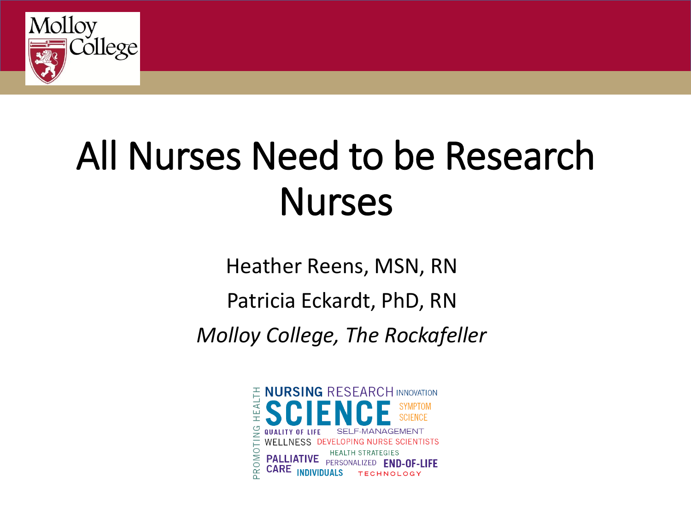

# All Nurses Need to be Research **Nurses**

Heather Reens, MSN, RN

Patricia Eckardt, PhD, RN

*Molloy College, The Rockafeller*

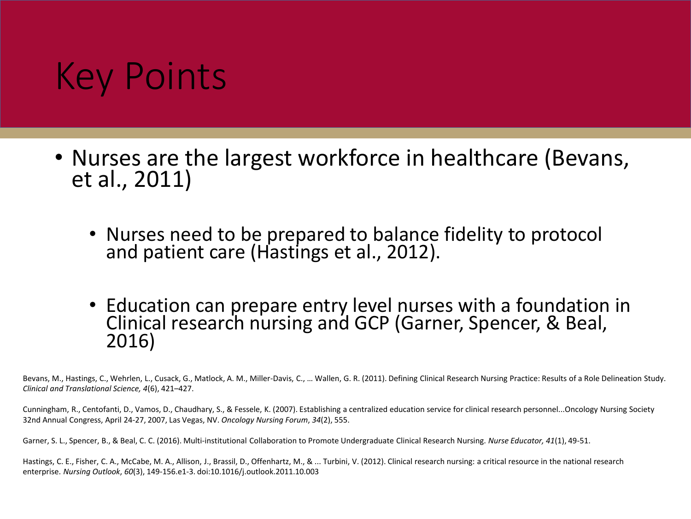## Key Points

- Nurses are the largest workforce in healthcare (Bevans, et al., 2011)
	- Nurses need to be prepared to balance fidelity to protocol and patient care (Hastings et al., 2012).
	- Education can prepare entry level nurses with a foundation in Clinical research nursing and GCP (Garner, Spencer, & Beal, 2016)

Bevans, M., Hastings, C., Wehrlen, L., Cusack, G., Matlock, A. M., Miller-Davis, C., … Wallen, G. R. (2011). Defining Clinical Research Nursing Practice: Results of a Role Delineation Study. *Clinical and Translational Science, 4*(6), 421–427.

Cunningham, R., Centofanti, D., Vamos, D., Chaudhary, S., & Fessele, K. (2007). Establishing a centralized education service for clinical research personnel...Oncology Nursing Society 32nd Annual Congress, April 24-27, 2007, Las Vegas, NV. *Oncology Nursing Forum*, *34*(2), 555.

Garner, S. L., Spencer, B., & Beal, C. C. (2016). Multi-institutional Collaboration to Promote Undergraduate Clinical Research Nursing. *Nurse Educator, 41*(1), 49-51.

Hastings, C. E., Fisher, C. A., McCabe, M. A., Allison, J., Brassil, D., Offenhartz, M., & ... Turbini, V. (2012). Clinical research nursing: a critical resource in the national research enterprise. *Nursing Outlook*, *60*(3), 149-156.e1-3. doi:10.1016/j.outlook.2011.10.003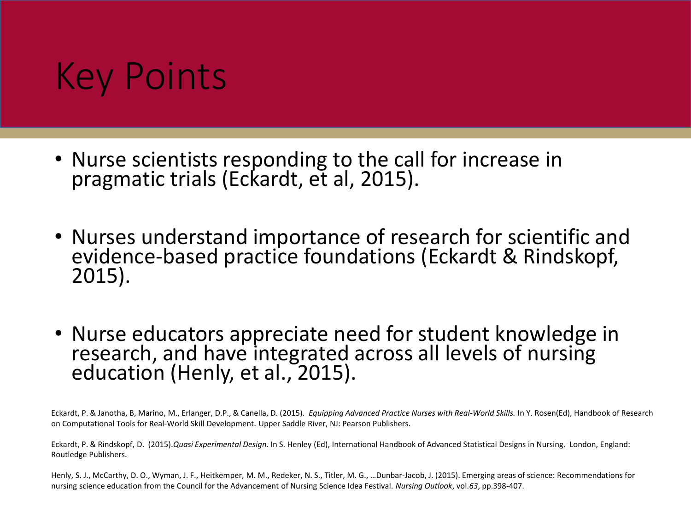## Key Points

- Nurse scientists responding to the call for increase in pragmatic trials (Eckardt, et al, 2015).
- Nurses understand importance of research for scientific and evidence-based practice foundations (Eckardt & Rindskopf, 2015).
- Nurse educators appreciate need for student knowledge in research, and have integrated across all levels of nursing education (Henly, et al., 2015).

Eckardt, P. & Janotha, B, Marino, M., Erlanger, D.P., & Canella, D. (2015). *Equipping Advanced Practice Nurses with Real-World Skills.* In Y. Rosen(Ed), Handbook of Research on Computational Tools for Real-World Skill Development. Upper Saddle River, NJ: Pearson Publishers.

Eckardt, P. & Rindskopf, D. (2015).*Quasi Experimental Design.* In S. Henley (Ed), International Handbook of Advanced Statistical Designs in Nursing. London, England: Routledge Publishers.

Henly, S. J., McCarthy, D. O., Wyman, J. F., Heitkemper, M. M., Redeker, N. S., Titler, M. G., …Dunbar-Jacob, J. (2015). Emerging areas of science: Recommendations for nursing science education from the Council for the Advancement of Nursing Science Idea Festival. *Nursing Outlook*, vol.*63*, pp.398-407.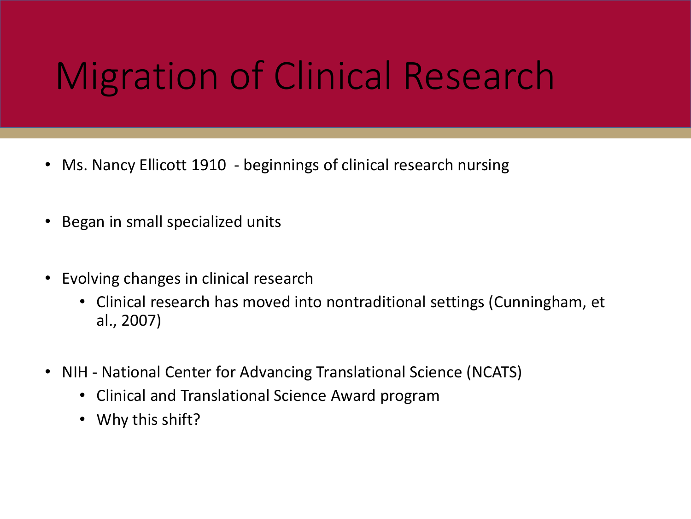## Migration of Clinical Research

- Ms. Nancy Ellicott 1910 beginnings of clinical research nursing
- Began in small specialized units
- Evolving changes in clinical research
	- Clinical research has moved into nontraditional settings (Cunningham, et al., 2007)
- NIH National Center for Advancing Translational Science (NCATS)
	- Clinical and Translational Science Award program
	- Why this shift?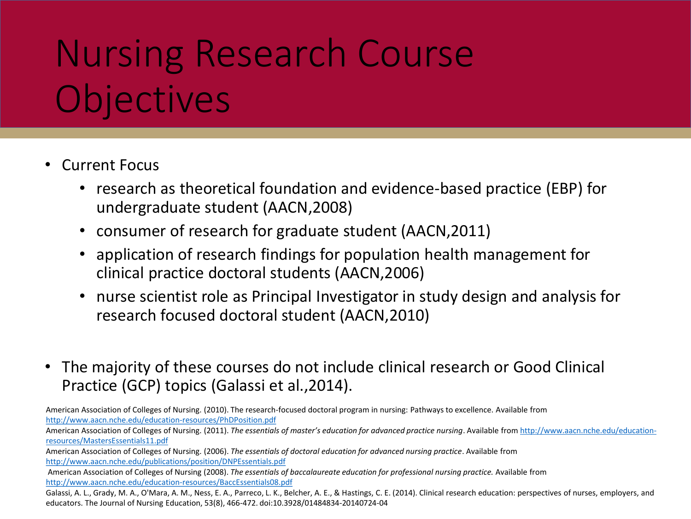## Nursing Research Course **Objectives**

- Current Focus
	- research as theoretical foundation and evidence-based practice (EBP) for undergraduate student (AACN,2008)
	- consumer of research for graduate student (AACN,2011)
	- application of research findings for population health management for clinical practice doctoral students (AACN,2006)
	- nurse scientist role as Principal Investigator in study design and analysis for research focused doctoral student (AACN,2010)
- The majority of these courses do not include clinical research or Good Clinical Practice (GCP) topics (Galassi et al.,2014).

American Association of Colleges of Nursing. (2010). The research-focused doctoral program in nursing: Pathways to excellence. Available from <http://www.aacn.nche.edu/education-resources/PhDPosition.pdf>

American Association of Colleges of Nursing. (2011). *[The essentials of master's education for advanced practice nursing](http://www.aacn.nche.edu/education-resources/MastersEssentials11.pdf)*. Available from http://www.aacn.nche.edu/educationresources/MastersEssentials11.pdf

American Association of Colleges of Nursing. (2006). *The essentials of doctoral education for advanced nursing practice*. Available from <http://www.aacn.nche.edu/publications/position/DNPEssentials.pdf>

American Association of Colleges of Nursing (2008). *The essentials of baccalaureate education for professional nursing practice.* Available from <http://www.aacn.nche.edu/education-resources/BaccEssentials08.pdf>

Galassi, A. L., Grady, M. A., O'Mara, A. M., Ness, E. A., Parreco, L. K., Belcher, A. E., & Hastings, C. E. (2014). Clinical research education: perspectives of nurses, employers, and educators. The Journal of Nursing Education, 53(8), 466-472. doi:10.3928/01484834-20140724-04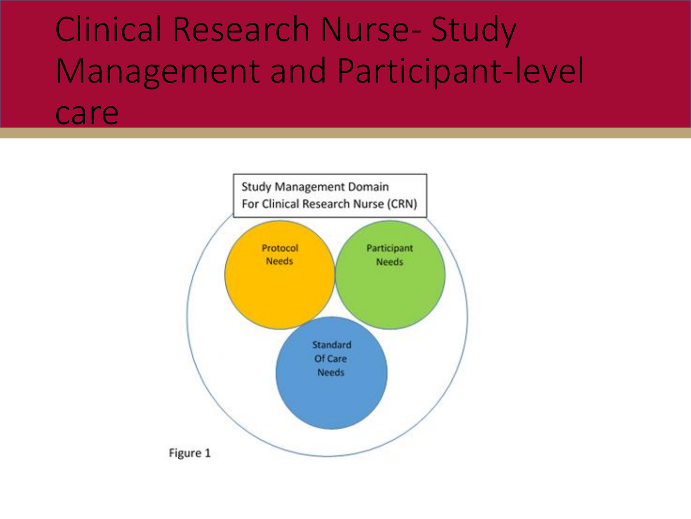#### Clinical Research Nurse- Study Management and Participant-level care

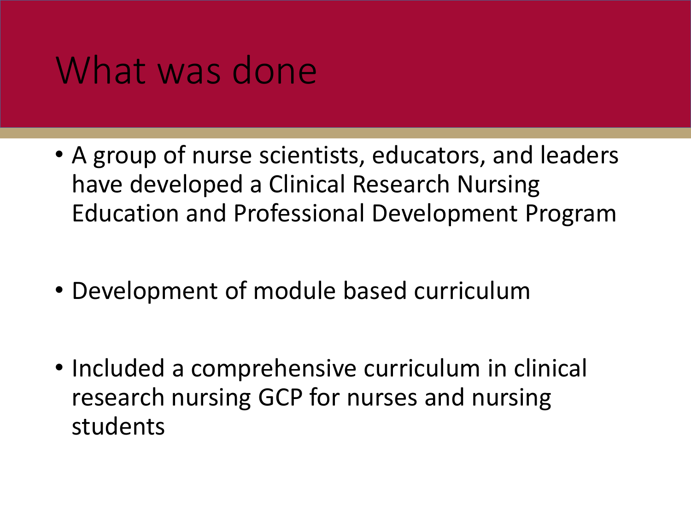#### What was done

- A group of nurse scientists, educators, and leaders have developed a Clinical Research Nursing Education and Professional Development Program
- Development of module based curriculum
- Included a comprehensive curriculum in clinical research nursing GCP for nurses and nursing students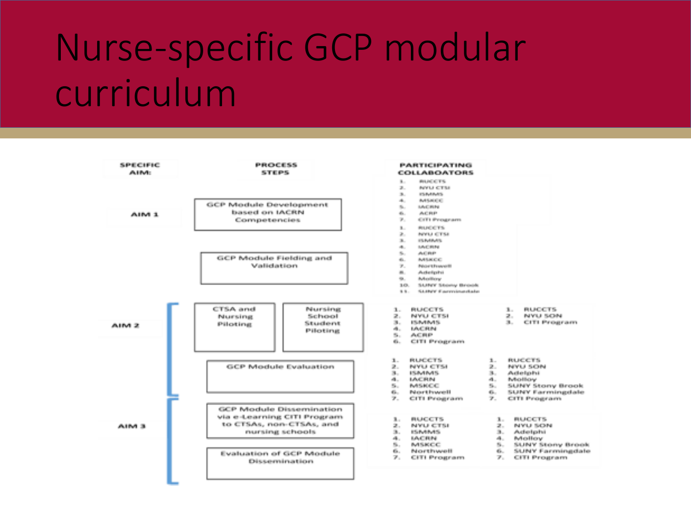## Nurse-specific GCP modular curriculum

| 发射电位 甲状腺<br><b>ALLINGS</b> | 時間の下に 田本島<br>ST 11 05 S.                                                                               | <b>PARTICIPATING</b><br><b>COLLABOATORS</b>                                                                                                                                                                                                                                                                                                                                   |
|----------------------------|--------------------------------------------------------------------------------------------------------|-------------------------------------------------------------------------------------------------------------------------------------------------------------------------------------------------------------------------------------------------------------------------------------------------------------------------------------------------------------------------------|
| AINS 3.                    | GCP Module Development<br>based on IACRN<br>Competencies                                               | B.<br><b>BILDER TRU</b><br>30.<br><b>BEVILLE CITILE</b><br><b>B.</b><br>International Profession<br>dia.<br>Activities (1)<br><b>Bitter</b><br><b>MACHINE</b><br>Accidents.<br>dia .<br>W.,<br><b>CITY Property-</b>                                                                                                                                                          |
|                            | GCP Module Fielding and<br><b>Seattebarthers</b>                                                       | B.<br><b>BUILDER TO:</b><br>第1<br><b>NOTES OF THE</b><br><b>INSURANCE</b><br>36 L<br><b>AACHINE</b><br>alla .<br>6.<br><b>Adjusts</b><br>60.<br><b>BARBATCO</b><br>St. Co<br><b><i>Distance Democration</i></b><br>图1<br>Autorigates<br>哪.<br><b>Behavillene</b><br>3,051<br>SANNY SAmey Brooks<br>9.91.1<br>SAINEY Expressionable to                                         |
| AIM 2                      | <b>CTSA and</b><br>Mursing<br>School<br>Nursina<br>Student<br>Piloting<br>Piloting                     | 31.<br>St.<br><b>BUICETS</b><br><b>BUILDETS</b><br>NYU CTSI<br><b>BUYLE SKINN</b><br>25 L<br><b>BL.</b><br><b>SELL</b><br><b>CITI Propertants</b><br>はいいけんりん<br>elli con<br><b>ISSUE IRES</b><br><b>Sec. 3</b><br>冷却用作<br>CITI Program.<br><b>SHILL</b>                                                                                                                       |
|                            | GCP Module Evaluation                                                                                  | <b>RUCCTS</b><br><b>BUILDER TO</b><br><b>L.</b><br>31<br><b>又。</b><br><b>NYU CTM</b><br>NYU SON<br><u>и.</u><br>第一 一 经承承的可能<br><b>But 1</b><br>Actorbatist<br>di<br>4. LACRIM<br><b>Behavillene</b><br>Se.<br>55. PARSHOEL<br>SUMY Storry Brook<br><b>Northwealt</b><br>dia<br>SURNY Exceptionnelate<br><b>Allen</b><br>アー<br>アー<br>CITI Properator<br><b>CITI Propercare</b> |
| AUNA B                     | GCP Module Dissemination<br>via e-Learning CITI Program<br>to CTSAs, non-CTSAs, and<br>numing schools: | <b>BARGETS</b><br><b>BLUCKTS</b><br>Burn.<br><b>INVIULSON</b><br>NYU CTSL<br><b>B</b><br>31. Auctionizativit<br><b>ESPARADO</b><br>di<br><b>MACHINE</b><br>alle con-<br><b>Behealters</b><br>m.,<br><b>MARKOC</b><br>5. SUNY Story Brook<br>SAJNY Farminadale<br>G.<br><b>IN CAST PASSAGE!</b><br>dia                                                                         |
|                            | Evaluation of GCP Module<br>Dissuerate a time.                                                         | $\mathbb{Z}_{\geq 0}$<br><b>GITI Programs</b><br><b>CITI Program</b><br>77 a .                                                                                                                                                                                                                                                                                                |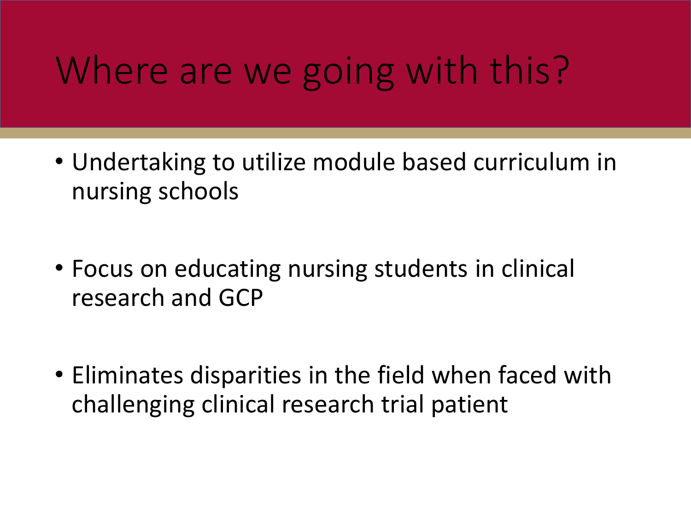## Where are we going with this?

- Undertaking to utilize module based curriculum in nursing schools
- Focus on educating nursing students in clinical research and GCP
- Eliminates disparities in the field when faced with challenging clinical research trial patient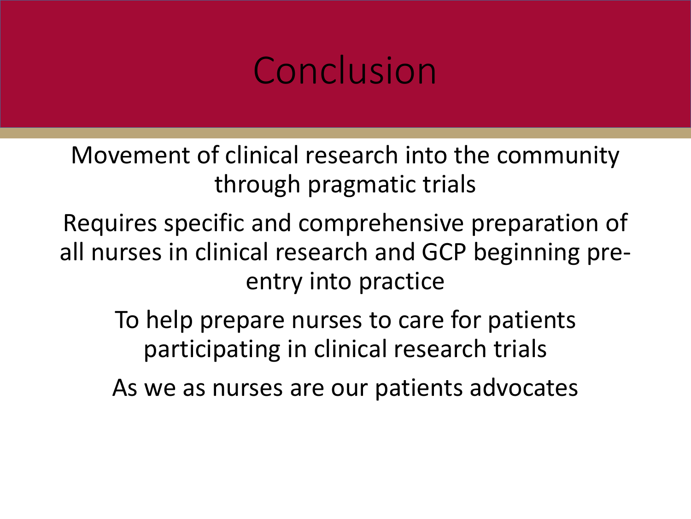## Conclusion

Movement of clinical research into the community through pragmatic trials

Requires specific and comprehensive preparation of all nurses in clinical research and GCP beginning preentry into practice

To help prepare nurses to care for patients participating in clinical research trials

As we as nurses are our patients advocates